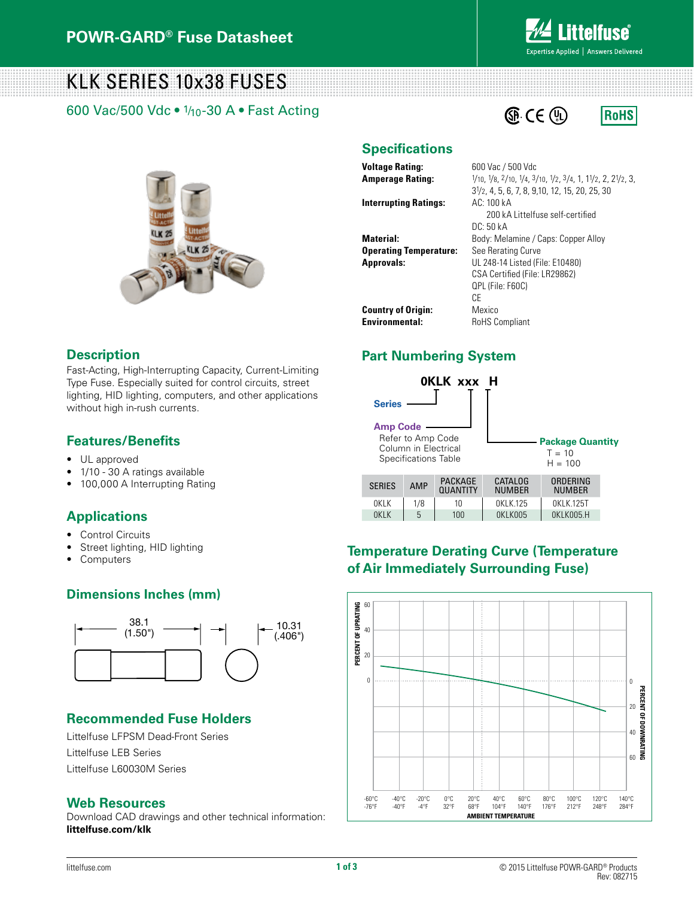

**RoHS** 

# KLK SERIES 10x38 FUSES

600 Vac/500 Vdc • 1/10-30 A • Fast Acting



## **Specifications**

**Voltage Rating:** 600 Vac / 500 Vdc

**Amperage Rating:**  $\frac{1}{10}$ ,  $\frac{1}{8}$ ,  $\frac{2}{10}$ ,  $\frac{1}{4}$ ,  $\frac{3}{10}$ ,  $\frac{1}{2}$ ,  $\frac{3}{4}$ , 1,  $\frac{1}{2}$ , 2,  $\frac{21}{2}$ , 3, **Interrupting Ratings:** AC: 100 kA

**Operating Temperature:** See Rerating Curve

31/2, 4, 5, 6, 7, 8, 9,10, 12, 15, 20, 25, 30 200 kA Littelfuse self-certified DC: 50 kA **Material:** Body: Melamine / Caps: Copper Alloy **Approvals:** UL 248-14 Listed (File: E10480) CSA Certified (File: LR29862) QPL (File: F60C) CE **Country of Origin:** Mexico **Environmental:** RoHS Compliant

**E** CE (D

## **Part Numbering System**



## **Temperature Derating Curve (Temperature of Air Immediately Surrounding Fuse)**



## **Fast-Acting, High-Interruption**

Fast-Acting, High-Interrupting Capacity, Current-Limiting Type Fuse. Especially suited for control circuits, street lighting, HID lighting, computers, and other applications without high in-rush currents. **Electrical Characteristics for Series**  $\mathsf{C}$ suited for control circuits, street control circuits, street control circuits, street control circuits, street control circuits, street control circuits, street control circuits, street control circuits, street co ist-Acting, High-Interrupting Capacity, Current-Limiting

## **Features/Benefits**

- UL approved and the matrix of the matrix of the matrix of the matrix of the matrix of the matrix of the matrix of the matrix of the matrix of the matrix of the matrix of the matrix of the matrix of the matrix of the matr
- 1/10 30 A ratings available
- 100,000 A Interrupting Rating  $20<sup>2</sup>$  minutes,  $2<sup>2</sup>$  minutes,  $2<sup>2</sup>$  minutes,  $2<sup>2</sup>$  minutes,  $2<sup>2</sup>$  minutes,  $2<sup>2</sup>$  minutes,  $2<sup>2</sup>$  minutes,  $2<sup>2</sup>$  minutes,  $2<sup>2</sup>$  minutes,  $2<sup>2</sup>$  minutes,  $2<sup>2</sup>$  minutes,

#### **Applications Product Characteristics**

- Control Circuits
- **•** Street lighting, HID lighting 200,000 amperes at 500 km s
- Computers

## **Dimensions Inches (mm) Dimensions**



## **Recommended Fuse Holders**

Littelfuse LFPSM Dead-Front Series Littelfuse LEB Series Littelfuse L60030M Series

#### **Web Resources**

Download CAD drawings and other technical information: **littelfuse.com/klk**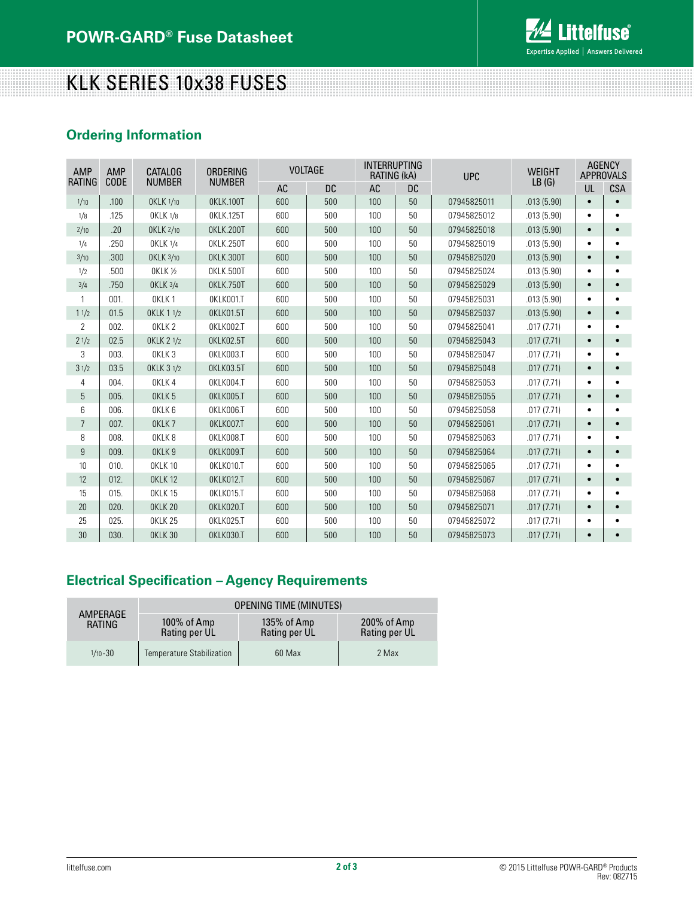

## KLK SERIES 10x38 FUSES

## **Ordering Information**

| AMP            | <b>AMP</b> | <b>CATALOG</b>    | ORDERING         | <b>VOLTAGE</b> |           | <b>INTERRUPTING</b><br>RATING (kA) |           | <b>UPC</b>  | <b>WEIGHT</b> | <b>AGENCY</b><br><b>APPROVALS</b> |            |
|----------------|------------|-------------------|------------------|----------------|-----------|------------------------------------|-----------|-------------|---------------|-----------------------------------|------------|
| RATING         | CODE       | <b>NUMBER</b>     | <b>NUMBER</b>    | <b>AC</b>      | <b>DC</b> | AC                                 | <b>DC</b> |             | LB(G)         | UL                                | <b>CSA</b> |
| 1/10           | .100       | OKLK 1/10         | OKLK.100T        | 600            | 500       | 100                                | 50        | 07945825011 | .013(5.90)    | $\bullet$                         |            |
| 1/8            | .125       | <b>OKLK 1/8</b>   | 0KLK.125T        | 600            | 500       | 100                                | 50        | 07945825012 | .013(5.90)    | $\bullet$                         |            |
| 2/10           | .20        | OKLK 2/10         | OKLK.200T        | 600            | 500       | 100                                | 50        | 07945825018 | .013(5.90)    | $\bullet$                         |            |
| 1/4            | .250       | <b>OKLK 1/4</b>   | 0KLK.250T        | 600            | 500       | 100                                | 50        | 07945825019 | .013(5.90)    | $\bullet$                         |            |
| 3/10           | .300       | OKLK 3/10         | OKLK.300T        | 600            | 500       | 100                                | 50        | 07945825020 | .013(5.90)    | $\bullet$                         |            |
| 1/2            | .500       | <b>OKLK 1/2</b>   | OKLK.500T        | 600            | 500       | 100                                | 50        | 07945825024 | .013(5.90)    |                                   |            |
| 3/4            | .750       | OKLK 3/4          | <b>OKLK.750T</b> | 600            | 500       | 100                                | 50        | 07945825029 | .013(5.90)    | $\bullet$                         |            |
|                | 001.       | OKLK <sub>1</sub> | OKLK001.T        | 600            | 500       | 100                                | 50        | 07945825031 | .013(5.90)    |                                   |            |
| 11/2           | 01.5       | OKLK 1 1/2        | OKLK01.5T        | 600            | 500       | 100                                | 50        | 07945825037 | .013(5.90)    | $\bullet$                         |            |
| $\overline{2}$ | 002.       | OKLK <sub>2</sub> | OKLK002.T        | 600            | 500       | 100                                | 50        | 07945825041 | .017(7.71)    | ٠                                 |            |
| 21/2           | 02.5       | OKLK 2 1/2        | OKLK02.5T        | 600            | 500       | 100                                | 50        | 07945825043 | .017(7.71)    | $\bullet$                         |            |
| 3              | 003.       | OKLK <sub>3</sub> | OKLK003.T        | 600            | 500       | 100                                | 50        | 07945825047 | .017(7.71)    |                                   |            |
| 31/2           | 03.5       | OKLK 3 1/2        | OKLK03.5T        | 600            | 500       | 100                                | 50        | 07945825048 | .017(7.71)    |                                   |            |
| 4              | 004.       | OKLK4             | OKLK004.T        | 600            | 500       | 100                                | 50        | 07945825053 | .017(7.71)    | ٠                                 |            |
| 5              | 005.       | OKLK <sub>5</sub> | OKLK005.T        | 600            | 500       | 100                                | 50        | 07945825055 | .017(7.71)    | $\bullet$                         |            |
| 6              | 006.       | OKLK <sub>6</sub> | OKLK006.T        | 600            | 500       | 100                                | 50        | 07945825058 | .017(7.71)    |                                   |            |
| $\overline{7}$ | 007.       | OKLK7             | OKLK007.T        | 600            | 500       | 100                                | 50        | 07945825061 | .017(7.71)    | $\bullet$                         |            |
| 8              | 008.       | OKLK <sub>8</sub> | OKLK008.T        | 600            | 500       | 100                                | 50        | 07945825063 | .017(7.71)    | ٠                                 |            |
| $\overline{9}$ | 009.       | OKLK <sub>9</sub> | OKLK009.T        | 600            | 500       | 100                                | 50        | 07945825064 | .017(7.71)    |                                   |            |
| 10             | 010.       | OKLK 10           | OKLK010.T        | 600            | 500       | 100                                | 50        | 07945825065 | .017(7.71)    |                                   |            |
| 12             | 012.       | OKLK 12           | OKLK012.T        | 600            | 500       | 100                                | 50        | 07945825067 | .017(7.71)    | $\bullet$                         |            |
| 15             | 015.       | OKLK 15           | OKLK015.T        | 600            | 500       | 100                                | 50        | 07945825068 | .017(7.71)    |                                   |            |
| 20             | 020.       | OKLK 20           | OKLK020.T        | 600            | 500       | 100                                | 50        | 07945825071 | .017(7.71)    | $\bullet$                         |            |
| 25             | 025.       | OKLK 25           | OKLK025.T        | 600            | 500       | 100                                | 50        | 07945825072 | .017(7.71)    |                                   |            |
| 30             | 030.       | OKLK 30           | <b>OKLK030.T</b> | 600            | 500       | 100                                | 50        | 07945825073 | .017(7.71)    | $\bullet$                         |            |

## **Electrical Specification – Agency Requirements**

|                    | <b>OPENING TIME (MINUTES)</b>    |                              |                              |  |  |  |  |
|--------------------|----------------------------------|------------------------------|------------------------------|--|--|--|--|
| AMPERAGE<br>RATING | 100% of Amp<br>Rating per UL     | 135% of Amp<br>Rating per UL | 200% of Amp<br>Rating per UL |  |  |  |  |
| $1/10 - 30$        | <b>Temperature Stabilization</b> | 60 Max                       | 2 Max                        |  |  |  |  |